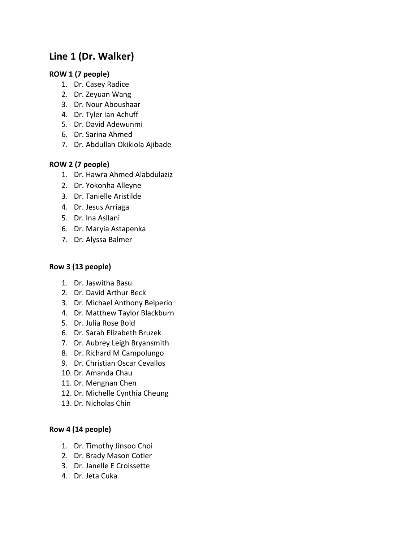# **Line 1 (Dr. Walker)**

## **ROW 1 (7 people)**

- 1. Dr. Casey Radice
- 2. Dr. Zeyuan Wang
- 3. Dr. Nour Aboushaar
- 4. Dr. Tyler Ian Achuff
- 5. Dr. David Adewunmi
- 6. Dr. Sarina Ahmed
- 7. Dr. Abdullah Okikiola Ajibade

## **ROW 2 (7 people)**

- 1. Dr. Hawra Ahmed Alabdulaziz
- 2. Dr. Yokonha Alleyne
- 3. Dr. Tanielle Aristilde
- 4. Dr. Jesus Arriaga
- 5. Dr. Ina Asllani
- 6. Dr. Maryia Astapenka
- 7. Dr. Alyssa Balmer

## **Row 3 (13 people)**

- 1. Dr. Jaswitha Basu
- 2. Dr. David Arthur Beck
- 3. Dr. Michael Anthony Belperio
- 4. Dr. Matthew Taylor Blackburn
- 5. Dr. Julia Rose Bold
- 6. Dr. Sarah Elizabeth Bruzek
- 7. Dr. Aubrey Leigh Bryansmith
- 8. Dr. Richard M Campolungo
- 9. Dr. Christian Oscar Cevallos
- 10. Dr. Amanda Chau
- 11. Dr. Mengnan Chen
- 12. Dr. Michelle Cynthia Cheung
- 13. Dr. Nicholas Chin

## **Row 4 (14 people)**

- 1. Dr. Timothy Jinsoo Choi
- 2. Dr. Brady Mason Cotler
- 3. Dr. Janelle E Croissette
- 4. Dr. Jeta Cuka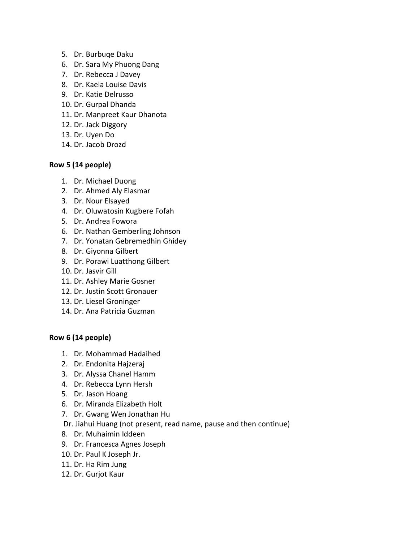- 5. Dr. Burbuqe Daku
- 6. Dr. Sara My Phuong Dang
- 7. Dr. Rebecca J Davey
- 8. Dr. Kaela Louise Davis
- 9. Dr. Katie Delrusso
- 10. Dr. Gurpal Dhanda
- 11. Dr. Manpreet Kaur Dhanota
- 12. Dr. Jack Diggory
- 13. Dr. Uyen Do
- 14. Dr. Jacob Drozd

### **Row 5 (14 people)**

- 1. Dr. Michael Duong
- 2. Dr. Ahmed Aly Elasmar
- 3. Dr. Nour Elsayed
- 4. Dr. Oluwatosin Kugbere Fofah
- 5. Dr. Andrea Fowora
- 6. Dr. Nathan Gemberling Johnson
- 7. Dr. Yonatan Gebremedhin Ghidey
- 8. Dr. Giyonna Gilbert
- 9. Dr. Porawi Luatthong Gilbert
- 10. Dr. Jasvir Gill
- 11. Dr. Ashley Marie Gosner
- 12. Dr. Justin Scott Gronauer
- 13. Dr. Liesel Groninger
- 14. Dr. Ana Patricia Guzman

### **Row 6 (14 people)**

- 1. Dr. Mohammad Hadaihed
- 2. Dr. Endonita Hajzeraj
- 3. Dr. Alyssa Chanel Hamm
- 4. Dr. Rebecca Lynn Hersh
- 5. Dr. Jason Hoang
- 6. Dr. Miranda Elizabeth Holt
- 7. Dr. Gwang Wen Jonathan Hu
- Dr. Jiahui Huang (not present, read name, pause and then continue)
- 8. Dr. Muhaimin Iddeen
- 9. Dr. Francesca Agnes Joseph
- 10. Dr. Paul K Joseph Jr.
- 11. Dr. Ha Rim Jung
- 12. Dr. Gurjot Kaur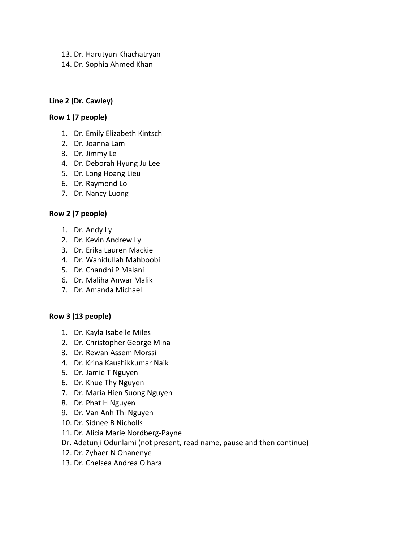- 13. Dr. Harutyun Khachatryan
- 14. Dr. Sophia Ahmed Khan

## **Line 2 (Dr. Cawley)**

### **Row 1 (7 people)**

- 1. Dr. Emily Elizabeth Kintsch
- 2. Dr. Joanna Lam
- 3. Dr. Jimmy Le
- 4. Dr. Deborah Hyung Ju Lee
- 5. Dr. Long Hoang Lieu
- 6. Dr. Raymond Lo
- 7. Dr. Nancy Luong

## **Row 2 (7 people)**

- 1. Dr. Andy Ly
- 2. Dr. Kevin Andrew Ly
- 3. Dr. Erika Lauren Mackie
- 4. Dr. Wahidullah Mahboobi
- 5. Dr. Chandni P Malani
- 6. Dr. Maliha Anwar Malik
- 7. Dr. Amanda Michael

## **Row 3 (13 people)**

- 1. Dr. Kayla Isabelle Miles
- 2. Dr. Christopher George Mina
- 3. Dr. Rewan Assem Morssi
- 4. Dr. Krina Kaushikkumar Naik
- 5. Dr. Jamie T Nguyen
- 6. Dr. Khue Thy Nguyen
- 7. Dr. Maria Hien Suong Nguyen
- 8. Dr. Phat H Nguyen
- 9. Dr. Van Anh Thi Nguyen
- 10. Dr. Sidnee B Nicholls
- 11. Dr. Alicia Marie Nordberg-Payne
- Dr. Adetunji Odunlami (not present, read name, pause and then continue)
- 12. Dr. Zyhaer N Ohanenye
- 13. Dr. Chelsea Andrea O'hara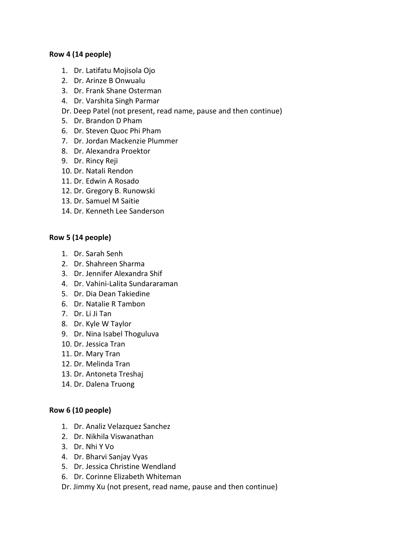### **Row 4 (14 people)**

- 1. Dr. Latifatu Mojisola Ojo
- 2. Dr. Arinze B Onwualu
- 3. Dr. Frank Shane Osterman
- 4. Dr. Varshita Singh Parmar
- Dr. Deep Patel (not present, read name, pause and then continue)
- 5. Dr. Brandon D Pham
- 6. Dr. Steven Quoc Phi Pham
- 7. Dr. Jordan Mackenzie Plummer
- 8. Dr. Alexandra Proektor
- 9. Dr. Rincy Reji
- 10. Dr. Natali Rendon
- 11. Dr. Edwin A Rosado
- 12. Dr. Gregory B. Runowski
- 13. Dr. Samuel M Saitie
- 14. Dr. Kenneth Lee Sanderson

### **Row 5 (14 people)**

- 1. Dr. Sarah Senh
- 2. Dr. Shahreen Sharma
- 3. Dr. Jennifer Alexandra Shif
- 4. Dr. Vahini-Lalita Sundararaman
- 5. Dr. Dia Dean Takiedine
- 6. Dr. Natalie R Tambon
- 7. Dr. Li Ji Tan
- 8. Dr. Kyle W Taylor
- 9. Dr. Nina Isabel Thoguluva
- 10. Dr. Jessica Tran
- 11. Dr. Mary Tran
- 12. Dr. Melinda Tran
- 13. Dr. Antoneta Treshaj
- 14. Dr. Dalena Truong

### **Row 6 (10 people)**

- 1. Dr. Analiz Velazquez Sanchez
- 2. Dr. Nikhila Viswanathan
- 3. Dr. Nhi Y Vo
- 4. Dr. Bharvi Sanjay Vyas
- 5. Dr. Jessica Christine Wendland
- 6. Dr. Corinne Elizabeth Whiteman
- Dr. Jimmy Xu (not present, read name, pause and then continue)